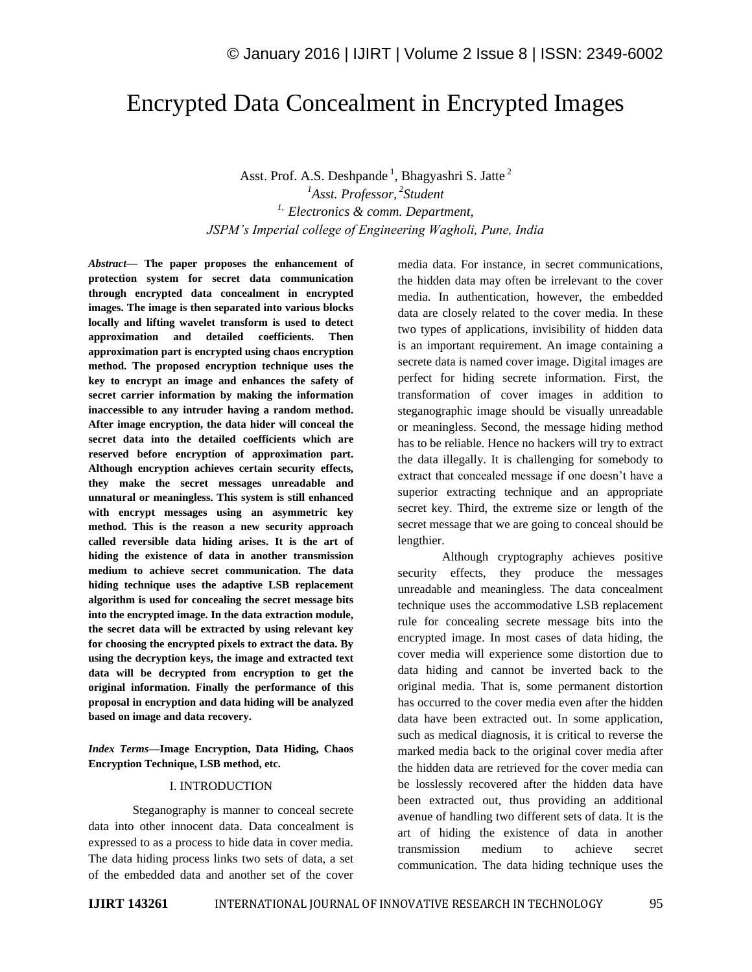# Encrypted Data Concealment in Encrypted Images

Asst. Prof. A.S. Deshpande<sup>1</sup>, Bhagyashri S. Jatte<sup>2</sup> <sup>1</sup>Asst. Professor, <sup>2</sup>Student *1, Electronics & comm. Department, JSPM's Imperial college of Engineering Wagholi, Pune, India* 

*Abstract—* **The paper proposes the enhancement of protection system for secret data communication through encrypted data concealment in encrypted images. The image is then separated into various blocks locally and lifting wavelet transform is used to detect approximation and detailed coefficients. Then approximation part is encrypted using chaos encryption method. The proposed encryption technique uses the key to encrypt an image and enhances the safety of secret carrier information by making the information inaccessible to any intruder having a random method. After image encryption, the data hider will conceal the secret data into the detailed coefficients which are reserved before encryption of approximation part. Although encryption achieves certain security effects, they make the secret messages unreadable and unnatural or meaningless. This system is still enhanced with encrypt messages using an asymmetric key method. This is the reason a new security approach called reversible data hiding arises. It is the art of hiding the existence of data in another transmission medium to achieve secret communication. The data hiding technique uses the adaptive LSB replacement algorithm is used for concealing the secret message bits into the encrypted image. In the data extraction module, the secret data will be extracted by using relevant key for choosing the encrypted pixels to extract the data. By using the decryption keys, the image and extracted text data will be decrypted from encryption to get the original information. Finally the performance of this proposal in encryption and data hiding will be analyzed based on image and data recovery.**

*Index Terms—***Image Encryption, Data Hiding, Chaos Encryption Technique, LSB method, etc.**

#### I. INTRODUCTION

Steganography is manner to conceal secrete data into other innocent data. Data concealment is expressed to as a process to hide data in cover media. The data hiding process links two sets of data, a set of the embedded data and another set of the cover media data. For instance, in secret communications, the hidden data may often be irrelevant to the cover media. In authentication, however, the embedded data are closely related to the cover media. In these two types of applications, invisibility of hidden data is an important requirement. An image containing a secrete data is named cover image. Digital images are perfect for hiding secrete information. First, the transformation of cover images in addition to steganographic image should be visually unreadable or meaningless. Second, the message hiding method has to be reliable. Hence no hackers will try to extract the data illegally. It is challenging for somebody to extract that concealed message if one doesn't have a superior extracting technique and an appropriate secret key. Third, the extreme size or length of the secret message that we are going to conceal should be lengthier.

Although cryptography achieves positive security effects, they produce the messages unreadable and meaningless. The data concealment technique uses the accommodative LSB replacement rule for concealing secrete message bits into the encrypted image. In most cases of data hiding, the cover media will experience some distortion due to data hiding and cannot be inverted back to the original media. That is, some permanent distortion has occurred to the cover media even after the hidden data have been extracted out. In some application, such as medical diagnosis, it is critical to reverse the marked media back to the original cover media after the hidden data are retrieved for the cover media can be losslessly recovered after the hidden data have been extracted out, thus providing an additional avenue of handling two different sets of data. It is the art of hiding the existence of data in another transmission medium to achieve secret communication. The data hiding technique uses the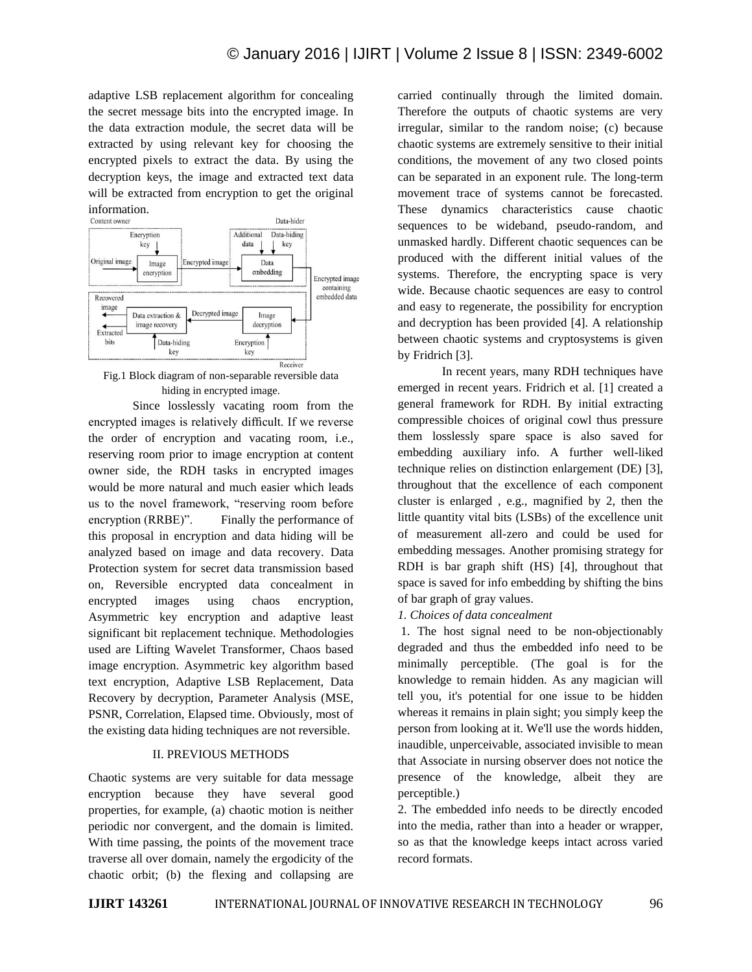adaptive LSB replacement algorithm for concealing the secret message bits into the encrypted image. In the data extraction module, the secret data will be extracted by using relevant key for choosing the encrypted pixels to extract the data. By using the decryption keys, the image and extracted text data will be extracted from encryption to get the original information.<br>Content owner



Fig.1 Block diagram of non-separable reversible data hiding in encrypted image.

Since losslessly vacating room from the encrypted images is relatively difficult. If we reverse the order of encryption and vacating room, i.e., reserving room prior to image encryption at content owner side, the RDH tasks in encrypted images would be more natural and much easier which leads us to the novel framework, "reserving room before encryption (RRBE)". Finally the performance of this proposal in encryption and data hiding will be analyzed based on image and data recovery. Data Protection system for secret data transmission based on, Reversible encrypted data concealment in encrypted images using chaos encryption, Asymmetric key encryption and adaptive least significant bit replacement technique. Methodologies used are Lifting Wavelet Transformer, Chaos based image encryption. Asymmetric key algorithm based text encryption, Adaptive LSB Replacement, Data Recovery by decryption, Parameter Analysis (MSE, PSNR, Correlation, Elapsed time. Obviously, most of the existing data hiding techniques are not reversible.

#### II. PREVIOUS METHODS

Chaotic systems are very suitable for data message encryption because they have several good properties, for example, (a) chaotic motion is neither periodic nor convergent, and the domain is limited. With time passing, the points of the movement trace traverse all over domain, namely the ergodicity of the chaotic orbit; (b) the flexing and collapsing are

carried continually through the limited domain. Therefore the outputs of chaotic systems are very irregular, similar to the random noise; (c) because chaotic systems are extremely sensitive to their initial conditions, the movement of any two closed points can be separated in an exponent rule. The long-term movement trace of systems cannot be forecasted. These dynamics characteristics cause chaotic sequences to be wideband, pseudo-random, and unmasked hardly. Different chaotic sequences can be produced with the different initial values of the systems. Therefore, the encrypting space is very wide. Because chaotic sequences are easy to control and easy to regenerate, the possibility for encryption and decryption has been provided [4]. A relationship between chaotic systems and cryptosystems is given by Fridrich [3].

In recent years, many RDH techniques have emerged in recent years. Fridrich et al. [1] created a general framework for RDH. By initial extracting compressible choices of original cowl thus pressure them losslessly spare space is also saved for embedding auxiliary info. A further well-liked technique relies on distinction enlargement (DE) [3], throughout that the excellence of each component cluster is enlarged , e.g., magnified by 2, then the little quantity vital bits (LSBs) of the excellence unit of measurement all-zero and could be used for embedding messages. Another promising strategy for RDH is bar graph shift (HS) [4], throughout that space is saved for info embedding by shifting the bins of bar graph of gray values.

*1. Choices of data concealment* 

1. The host signal need to be non-objectionably degraded and thus the embedded info need to be minimally perceptible. (The goal is for the knowledge to remain hidden. As any magician will tell you, it's potential for one issue to be hidden whereas it remains in plain sight; you simply keep the person from looking at it. We'll use the words hidden, inaudible, unperceivable, associated invisible to mean that Associate in nursing observer does not notice the presence of the knowledge, albeit they are perceptible.)

2. The embedded info needs to be directly encoded into the media, rather than into a header or wrapper, so as that the knowledge keeps intact across varied record formats.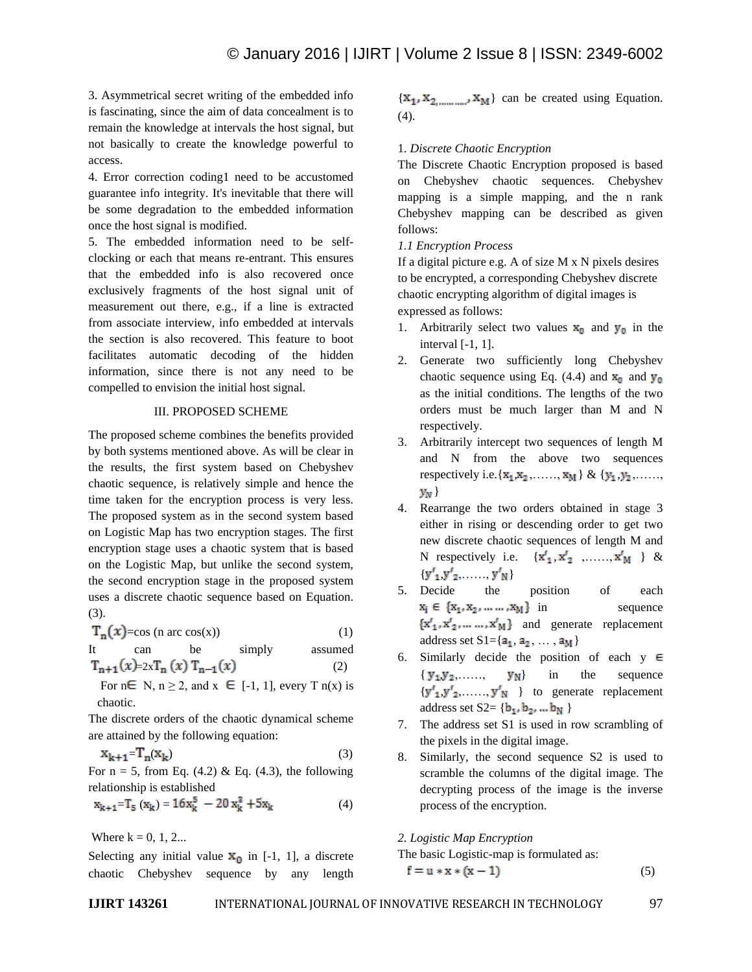3. Asymmetrical secret writing of the embedded info is fascinating, since the aim of data concealment is to remain the knowledge at intervals the host signal, but not basically to create the knowledge powerful to access.

4. Error correction coding1 need to be accustomed guarantee info integrity. It's inevitable that there will be some degradation to the embedded information once the host signal is modified.

5. The embedded information need to be selfclocking or each that means re-entrant. This ensures that the embedded info is also recovered once exclusively fragments of the host signal unit of measurement out there, e.g., if a line is extracted from associate interview, info embedded at intervals the section is also recovered. This feature to boot facilitates automatic decoding of the hidden information, since there is not any need to be compelled to envision the initial host signal.

#### III. PROPOSED SCHEME

The proposed scheme combines the benefits provided by both systems mentioned above. As will be clear in the results, the first system based on Chebyshev chaotic sequence, is relatively simple and hence the time taken for the encryption process is very less. The proposed system as in the second system based on Logistic Map has two encryption stages. The first encryption stage uses a chaotic system that is based on the Logistic Map, but unlike the second system, the second encryption stage in the proposed system uses a discrete chaotic sequence based on Equation. (3).

$$
T_n(x) = \cos (n \arccos(x)) \tag{1}
$$

It can be simply assumed  $T_{n+1}(x)=2xT_n(x)T_{n-1}(x)$  (2)

For  $n \in N$ ,  $n \ge 2$ , and  $x \in [-1, 1]$ , every T  $n(x)$  is chaotic.

The discrete orders of the chaotic dynamical scheme are attained by the following equation:

$$
x_{k+1} = T_n(x_k) \tag{3}
$$

For  $n = 5$ , from Eq. (4.2) & Eq. (4.3), the following relationship is established

$$
x_{k+1} = T_5 (x_k) = 16x_k^5 - 20x_k^3 + 5x_k
$$
 (4)

Where  $k = 0, 1, 2...$ 

Selecting any initial value  $\mathbf{x}_0$  in [-1, 1], a discrete chaotic Chebyshev sequence by any length  $\{x_1, x_2, \ldots, x_M\}$  can be created using Equation. (4).

# 1*. Discrete Chaotic Encryption*

The Discrete Chaotic Encryption proposed is based on Chebyshev chaotic sequences. Chebyshev mapping is a simple mapping, and the n rank Chebyshev mapping can be described as given follows:

### *1.1 Encryption Process*

If a digital picture e.g. A of size M x N pixels desires to be encrypted, a corresponding Chebyshev discrete chaotic encrypting algorithm of digital images is expressed as follows:

- 1. Arbitrarily select two values  $x_0$  and  $y_0$  in the interval [-1, 1].
- 2. Generate two sufficiently long Chebyshev chaotic sequence using Eq. (4.4) and  $x_0$  and  $y_0$ as the initial conditions. The lengths of the two orders must be much larger than M and N respectively.
- 3. Arbitrarily intercept two sequences of length M and N from the above two sequences respectively i.e.  $\{x_1, x_2, \ldots, x_M\} \& \{y_1, y_2, \ldots,$  $y_N$
- 4. Rearrange the two orders obtained in stage 3 either in rising or descending order to get two new discrete chaotic sequences of length M and N respectively i.e.  $\{x'_1, x'_2, \ldots, x'_M\}$  &  ${y'_1, y'_2, \ldots, y'_N}$
- 5. Decide the position of each  $x_i \in \{x_1, x_2, \dots, x_M\}$  in sequence  $\{x'_1, x'_2, \dots, x'_M\}$  and generate replacement address set  $S1 = \{a_1, a_2, ..., a_M\}$
- 6. Similarly decide the position of each  $y \in$  $\{y_1, y_2, \ldots, y_N\}$  in the sequence  ${y'_1, y'_2, \ldots, y'_N}$  to generate replacement address set  $S2 = \{b_1, b_2, ... b_N\}$
- 7. The address set S1 is used in row scrambling of the pixels in the digital image.
- 8. Similarly, the second sequence S2 is used to scramble the columns of the digital image. The decrypting process of the image is the inverse process of the encryption.

*2. Logistic Map Encryption* 

The basic Logistic-map is formulated as:

$$
f = u * x * (x - 1) \tag{5}
$$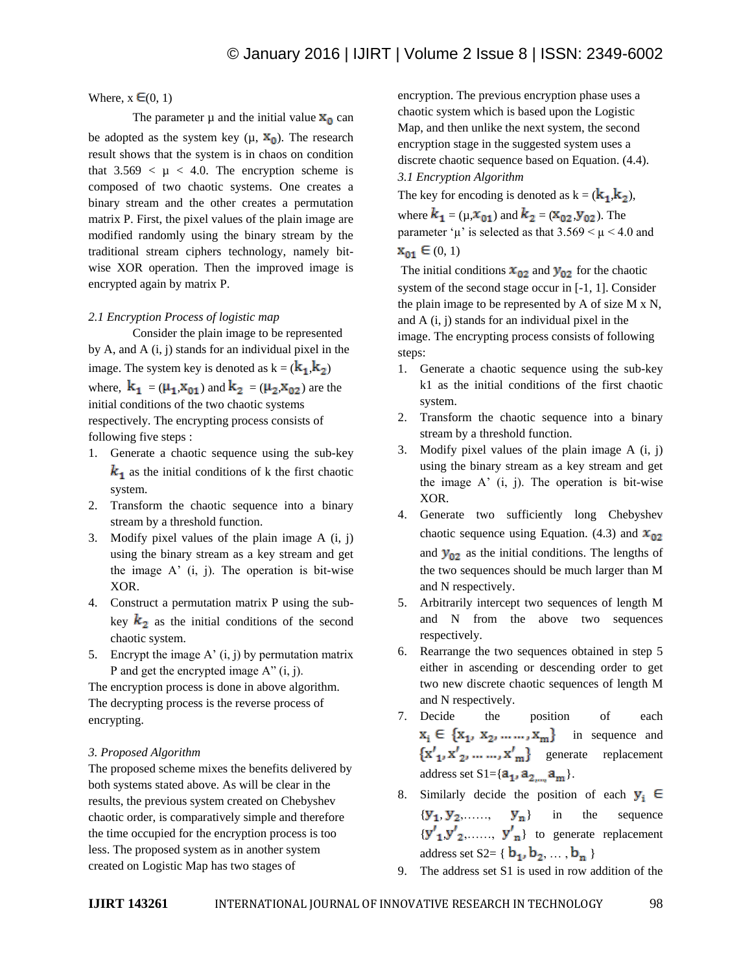#### Where,  $x \in (0, 1)$

The parameter  $\mu$  and the initial value  $x_0$  can be adopted as the system key  $(\mu, X_0)$ . The research result shows that the system is in chaos on condition that  $3.569 < \mu < 4.0$ . The encryption scheme is composed of two chaotic systems. One creates a binary stream and the other creates a permutation matrix P. First, the pixel values of the plain image are modified randomly using the binary stream by the traditional stream ciphers technology, namely bitwise XOR operation. Then the improved image is encrypted again by matrix P.

#### *2.1 Encryption Process of logistic map*

Consider the plain image to be represented by A, and A (i, j) stands for an individual pixel in the image. The system key is denoted as  $k = (k_1, k_2)$ where,  $k_1 = (\mu_1, x_{01})$  and  $k_2 = (\mu_2, x_{02})$  are the initial conditions of the two chaotic systems respectively. The encrypting process consists of following five steps :

- 1. Generate a chaotic sequence using the sub-key  $k_1$  as the initial conditions of k the first chaotic system.
- 2. Transform the chaotic sequence into a binary stream by a threshold function.
- 3. Modify pixel values of the plain image  $A(i, j)$ using the binary stream as a key stream and get the image  $A'$  (i, j). The operation is bit-wise XOR.
- 4. Construct a permutation matrix P using the subkey  $k_2$  as the initial conditions of the second chaotic system.
- 5. Encrypt the image  $A'(i, j)$  by permutation matrix P and get the encrypted image  $A''(i, j)$ .

The encryption process is done in above algorithm. The decrypting process is the reverse process of encrypting.

### *3. Proposed Algorithm*

The proposed scheme mixes the benefits delivered by both systems stated above. As will be clear in the results, the previous system created on Chebyshev chaotic order, is comparatively simple and therefore the time occupied for the encryption process is too less. The proposed system as in another system created on Logistic Map has two stages of

encryption. The previous encryption phase uses a chaotic system which is based upon the Logistic Map, and then unlike the next system, the second encryption stage in the suggested system uses a discrete chaotic sequence based on Equation. (4.4). *3.1 Encryption Algorithm*

The key for encoding is denoted as  $k = (k_1, k_2)$ , where  $k_1 = (\mu, x_{01})$  and  $k_2 = (x_{02}, y_{02})$ . The parameter ' $\mu$ ' is selected as that  $3.569 < \mu < 4.0$  and  $x_{01} \in (0, 1)$ 

The initial conditions  $x_{02}$  and  $y_{02}$  for the chaotic system of the second stage occur in [-1, 1]. Consider the plain image to be represented by A of size M x N, and A (i, j) stands for an individual pixel in the image. The encrypting process consists of following steps:

- 1. Generate a chaotic sequence using the sub-key k1 as the initial conditions of the first chaotic system.
- 2. Transform the chaotic sequence into a binary stream by a threshold function.
- 3. Modify pixel values of the plain image A (i, j) using the binary stream as a key stream and get the image A' (i, j). The operation is bit-wise XOR.
- 4. Generate two sufficiently long Chebyshev chaotic sequence using Equation. (4.3) and  $x_{02}$ and  $y_{02}$  as the initial conditions. The lengths of the two sequences should be much larger than M and N respectively.
- 5. Arbitrarily intercept two sequences of length M and N from the above two sequences respectively.
- 6. Rearrange the two sequences obtained in step 5 either in ascending or descending order to get two new discrete chaotic sequences of length M and N respectively.
- 7. Decide the position of each  $x_i \in \{x_1, x_2, \dots, x_m\}$  in sequence and  ${x', x', ..., x', m}$  generate replacement address set  $S1 = \{a_1, a_2, a_m\}$ .
- 8. Similarly decide the position of each  $y_i \in$  ${y_1, y_2, \ldots, y_n}$  in the sequence  ${y'}_1, {y'}_2, \ldots, {y'}_n$  to generate replacement address set  $S2 = \{ b_1, b_2, \ldots, b_n \}$
- 9. The address set S1 is used in row addition of the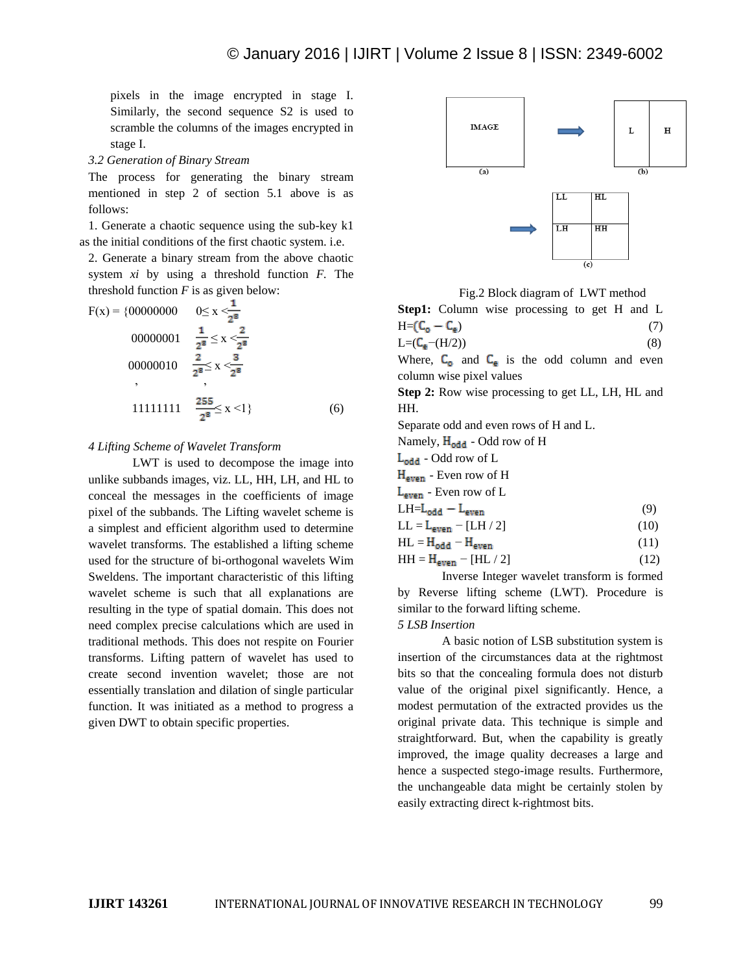pixels in the image encrypted in stage I. Similarly, the second sequence S2 is used to scramble the columns of the images encrypted in stage I.

*3.2 Generation of Binary Stream* 

The process for generating the binary stream mentioned in step 2 of section 5.1 above is as follows:

1. Generate a chaotic sequence using the sub-key k1 as the initial conditions of the first chaotic system. i.e.

2. Generate a binary stream from the above chaotic system *xi* by using a threshold function *F.* The threshold function  $F$  is as given below:

$$
F(x) = \{00000000 \quad 0 \le x < \frac{1}{2^{8}}
$$
  
\n00000001  $\frac{1}{2^{8}} \le x < \frac{2}{2^{8}}$   
\n00000010  $\frac{2}{2^{8}} \le x < \frac{3}{2^{8}}$   
\n, 11111111  $\frac{255}{2^{8}} \le x < 1\}$  (6)

#### *4 Lifting Scheme of Wavelet Transform*

LWT is used to decompose the image into unlike subbands images, viz. LL, HH, LH, and HL to conceal the messages in the coefficients of image pixel of the subbands. The Lifting wavelet scheme is a simplest and efficient algorithm used to determine wavelet transforms. The established a lifting scheme used for the structure of bi-orthogonal wavelets Wim Sweldens. The important characteristic of this lifting wavelet scheme is such that all explanations are resulting in the type of spatial domain. This does not need complex precise calculations which are used in traditional methods. This does not respite on Fourier transforms. Lifting pattern of wavelet has used to create second invention wavelet; those are not essentially translation and dilation of single particular function. It was initiated as a method to progress a given DWT to obtain specific properties.



Fig.2 Block diagram of LWT method

**Step1:** Column wise processing to get H and L  $H=(\mathsf{C}_0-\mathsf{C}_e)$  (7)  $L=(C_e-(H/2))$  (8)

Where,  $C_0$  and  $C_e$  is the odd column and even column wise pixel values

**Step 2:** Row wise processing to get LL, LH, HL and HH.

Separate odd and even rows of H and L.

Namely,  $H_{odd}$  - Odd row of H

 $L_{odd}$  - Odd row of  $L$ 

 $H_{\text{even}}$  - Even row of H

L<sub>even</sub> - Even row of L

$$
LH = L_{odd} - L_{even}
$$
 (9)

$$
LL = L_{even} - [LH / 2]
$$
 (10)

$$
HL = H_{odd} - H_{even}
$$
 (11)

$$
HH = H_{even} - [HL / 2]
$$
 (12)

Inverse Integer wavelet transform is formed by Reverse lifting scheme (LWT). Procedure is similar to the forward lifting scheme.

### *5 LSB Insertion*

A basic notion of LSB substitution system is insertion of the circumstances data at the rightmost bits so that the concealing formula does not disturb value of the original pixel significantly. Hence, a modest permutation of the extracted provides us the original private data. This technique is simple and straightforward. But, when the capability is greatly improved, the image quality decreases a large and hence a suspected stego-image results. Furthermore, the unchangeable data might be certainly stolen by easily extracting direct k-rightmost bits.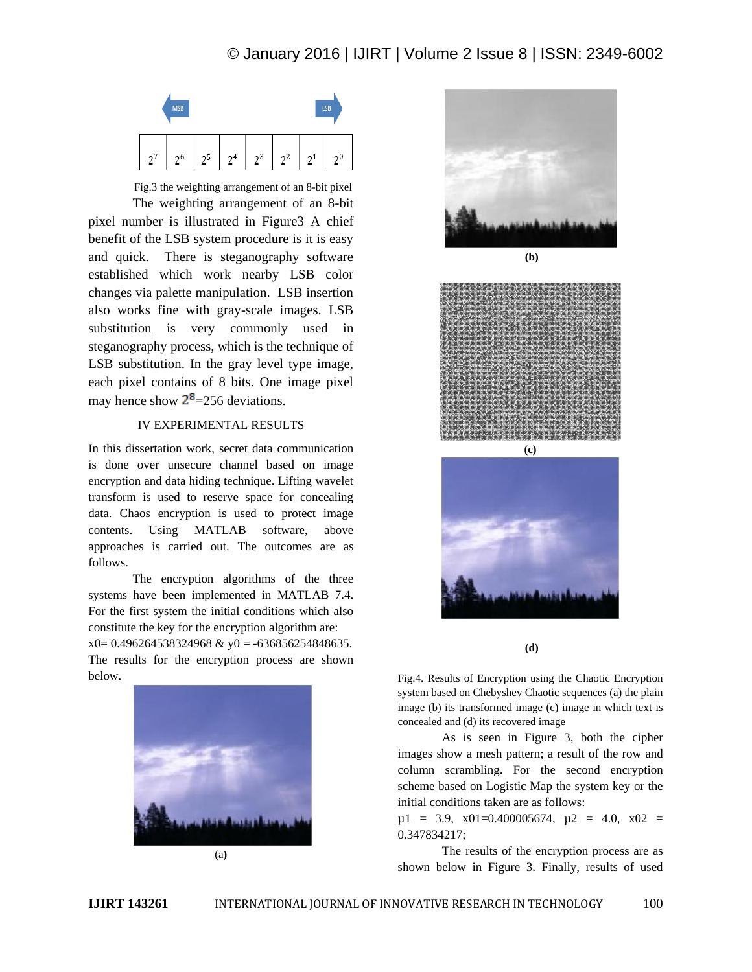# © January 2016 | IJIRT | Volume 2 Issue 8 | ISSN: 2349-6002



Fig.3 the weighting arrangement of an 8-bit pixel The weighting arrangement of an 8-bit pixel number is illustrated in Figure3 A chief benefit of the LSB system procedure is it is easy and quick. There is steganography software established which work nearby LSB color changes via palette manipulation. LSB insertion also works fine with gray-scale images. LSB substitution is very commonly used in steganography process, which is the technique of LSB substitution. In the gray level type image, each pixel contains of 8 bits. One image pixel may hence show  $2^8$ =256 deviations.

# IV EXPERIMENTAL RESULTS

In this dissertation work, secret data communication is done over unsecure channel based on image encryption and data hiding technique. Lifting wavelet transform is used to reserve space for concealing data. Chaos encryption is used to protect image contents. Using MATLAB software, above approaches is carried out. The outcomes are as follows.

The encryption algorithms of the three systems have been implemented in MATLAB 7.4. For the first system the initial conditions which also constitute the key for the encryption algorithm are:  $x0= 0.496264538324968$  &  $y0 = -636856254848635$ .

The results for the encryption process are shown below.









**(d)**

Fig.4. Results of Encryption using the Chaotic Encryption system based on Chebyshev Chaotic sequences (a) the plain image (b) its transformed image (c) image in which text is concealed and (d) its recovered image

As is seen in Figure 3, both the cipher images show a mesh pattern; a result of the row and column scrambling. For the second encryption scheme based on Logistic Map the system key or the initial conditions taken are as follows:

 $\mu$ 1 = 3.9, x01=0.400005674,  $\mu$ 2 = 4.0, x02 = 0.347834217;

The results of the encryption process are as shown below in Figure 3. Finally, results of used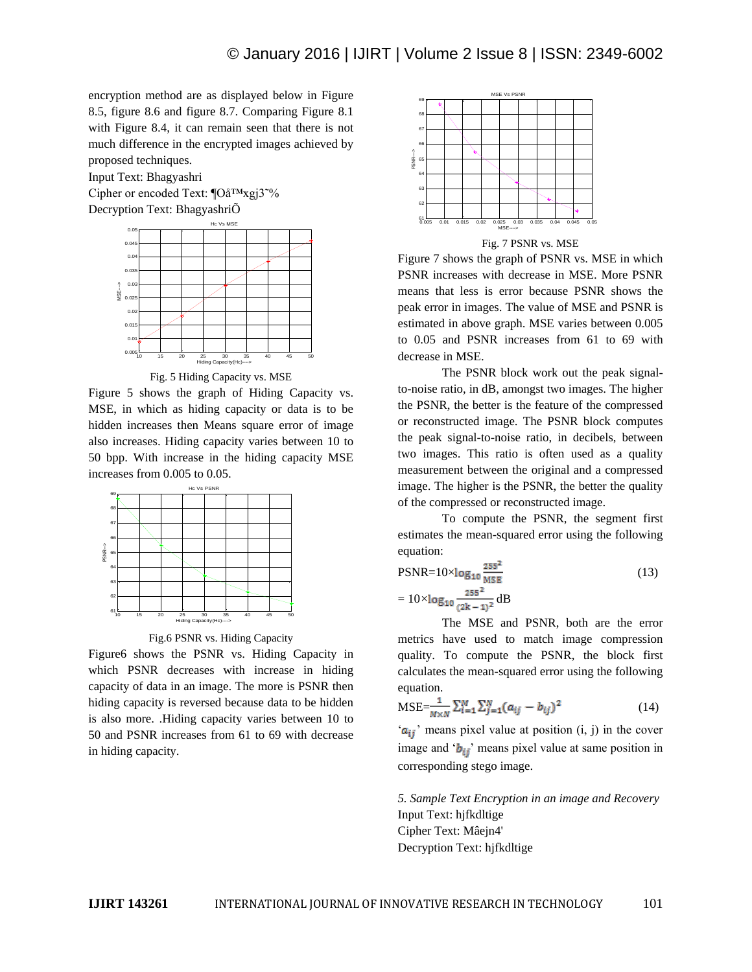encryption method are as displayed below in Figure 8.5, figure 8.6 and figure 8.7. Comparing Figure 8.1 with Figure 8.4, it can remain seen that there is not much difference in the encrypted images achieved by proposed techniques.

Input Text: Bhagyashri

Cipher or encoded Text: ¶Oå™xgj3˜% Decryption Text: BhagyashriÕ



Fig. 5 Hiding Capacity vs. MSE

Figure 5 shows the graph of Hiding Capacity vs. MSE, in which as hiding capacity or data is to be hidden increases then Means square error of image also increases. Hiding capacity varies between 10 to 50 bpp. With increase in the hiding capacity MSE increases from 0.005 to 0.05.



Fig.6 PSNR vs. Hiding Capacity

Figure6 shows the PSNR vs. Hiding Capacity in which PSNR decreases with increase in hiding capacity of data in an image. The more is PSNR then hiding capacity is reversed because data to be hidden is also more. .Hiding capacity varies between 10 to 50 and PSNR increases from 61 to 69 with decrease in hiding capacity.



Figure 7 shows the graph of PSNR vs. MSE in which PSNR increases with decrease in MSE. More PSNR means that less is error because PSNR shows the peak error in images. The value of MSE and PSNR is estimated in above graph. MSE varies between 0.005 to 0.05 and PSNR increases from 61 to 69 with decrease in MSE.

The PSNR block work out the peak signalto-noise ratio, in dB, amongst two images. The higher the PSNR, the better is the feature of the compressed or reconstructed image. The PSNR block computes the peak signal-to-noise ratio, in decibels, between two images. This ratio is often used as a quality measurement between the original and a compressed image. The higher is the PSNR, the better the quality of the compressed or reconstructed image.

To compute the PSNR, the segment first estimates the mean-squared error using the following equation:

$$
PSNR = 10 \times \log_{10} \frac{255^2}{MSE}
$$
  
=  $10 \times \log_{10} \frac{255^2}{(2k-1)^2} dB$  (13)

The MSE and PSNR, both are the error metrics have used to match image compression quality. To compute the PSNR, the block first calculates the mean-squared error using the following equation.

$$
\text{MSE} = \frac{1}{M \times N} \sum_{i=1}^{M} \sum_{j=1}^{N} (a_{ij} - b_{ij})^2
$$
 (14)

 $(a_{ij})$  means pixel value at position (i, j) in the cover image and ' $b_{ij}$ ' means pixel value at same position in corresponding stego image.

*5. Sample Text Encryption in an image and Recovery* Input Text: hjfkdltige Cipher Text: Mâejn4' Decryption Text: hjfkdltige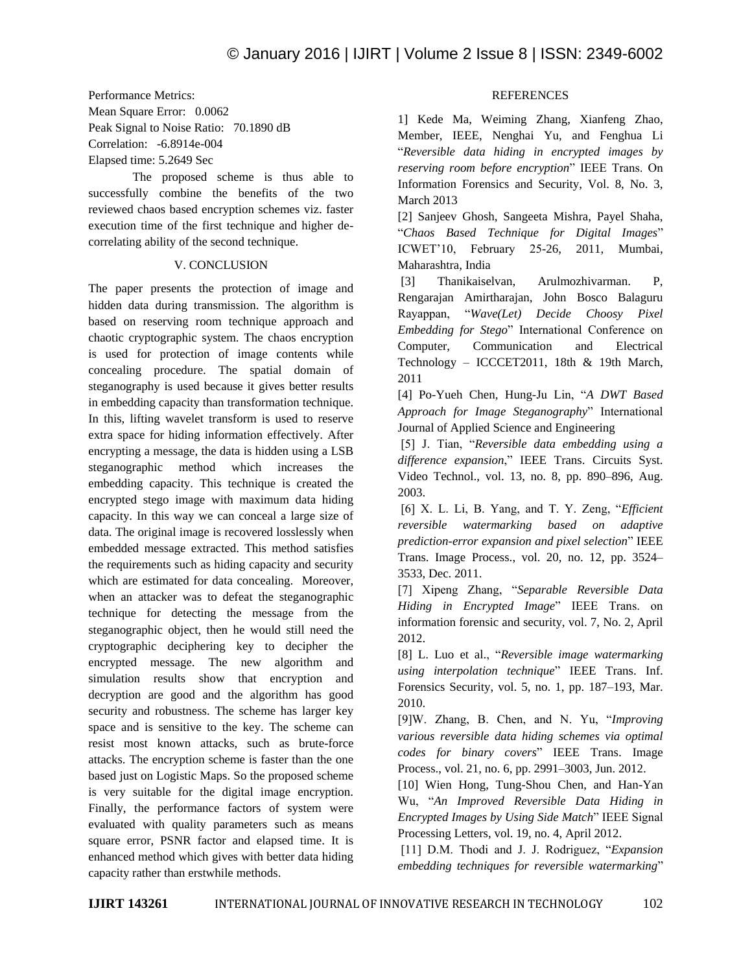Performance Metrics:

Mean Square Error: 0.0062 Peak Signal to Noise Ratio: 70.1890 dB Correlation: -6.8914e-004 Elapsed time: 5.2649 Sec

The proposed scheme is thus able to successfully combine the benefits of the two reviewed chaos based encryption schemes viz. faster execution time of the first technique and higher decorrelating ability of the second technique.

### V. CONCLUSION

The paper presents the protection of image and hidden data during transmission. The algorithm is based on reserving room technique approach and chaotic cryptographic system. The chaos encryption is used for protection of image contents while concealing procedure. The spatial domain of steganography is used because it gives better results in embedding capacity than transformation technique. In this, lifting wavelet transform is used to reserve extra space for hiding information effectively. After encrypting a message, the data is hidden using a LSB steganographic method which increases the embedding capacity. This technique is created the encrypted stego image with maximum data hiding capacity. In this way we can conceal a large size of data. The original image is recovered losslessly when embedded message extracted. This method satisfies the requirements such as hiding capacity and security which are estimated for data concealing. Moreover, when an attacker was to defeat the steganographic technique for detecting the message from the steganographic object, then he would still need the cryptographic deciphering key to decipher the encrypted message. The new algorithm and simulation results show that encryption and decryption are good and the algorithm has good security and robustness. The scheme has larger key space and is sensitive to the key. The scheme can resist most known attacks, such as brute-force attacks. The encryption scheme is faster than the one based just on Logistic Maps. So the proposed scheme is very suitable for the digital image encryption. Finally, the performance factors of system were evaluated with quality parameters such as means square error, PSNR factor and elapsed time. It is enhanced method which gives with better data hiding capacity rather than erstwhile methods.

# **REFERENCES**

1] Kede Ma, Weiming Zhang, Xianfeng Zhao, Member, IEEE, Nenghai Yu, and Fenghua Li "*Reversible data hiding in encrypted images by reserving room before encryption*" IEEE Trans. On Information Forensics and Security, Vol. 8, No. 3, March 2013

[2] Sanjeev Ghosh, Sangeeta Mishra, Payel Shaha, "*Chaos Based Technique for Digital Images*" ICWET'10, February 25-26, 2011, Mumbai, Maharashtra, India

[3] Thanikaiselvan, Arulmozhivarman. P, Rengarajan Amirtharajan, John Bosco Balaguru Rayappan, "*Wave(Let) Decide Choosy Pixel Embedding for Stego*" International Conference on Computer, Communication and Electrical Technology – ICCCET2011, 18th & 19th March, 2011

[4] Po-Yueh Chen, Hung-Ju Lin, "*A DWT Based Approach for Image Steganography*" International Journal of Applied Science and Engineering

[5] J. Tian, "*Reversible data embedding using a difference expansion*," IEEE Trans. Circuits Syst. Video Technol., vol. 13, no. 8, pp. 890–896, Aug. 2003.

[6] X. L. Li, B. Yang, and T. Y. Zeng, "*Efficient reversible watermarking based on adaptive prediction-error expansion and pixel selection*" IEEE Trans. Image Process., vol. 20, no. 12, pp. 3524– 3533, Dec. 2011.

[7] Xipeng Zhang, "*Separable Reversible Data Hiding in Encrypted Image*" IEEE Trans. on information forensic and security, vol. 7, No. 2, April 2012.

[8] L. Luo et al., "*Reversible image watermarking using interpolation technique*" IEEE Trans. Inf. Forensics Security, vol. 5, no. 1, pp. 187–193, Mar. 2010.

[9]W. Zhang, B. Chen, and N. Yu, "*Improving various reversible data hiding schemes via optimal codes for binary covers*" IEEE Trans. Image Process., vol. 21, no. 6, pp. 2991–3003, Jun. 2012.

[10] Wien Hong, Tung-Shou Chen, and Han-Yan Wu, "*An Improved Reversible Data Hiding in Encrypted Images by Using Side Match*" IEEE Signal Processing Letters, vol. 19, no. 4, April 2012.

[11] D.M. Thodi and J. J. Rodriguez, "*Expansion embedding techniques for reversible watermarking*"